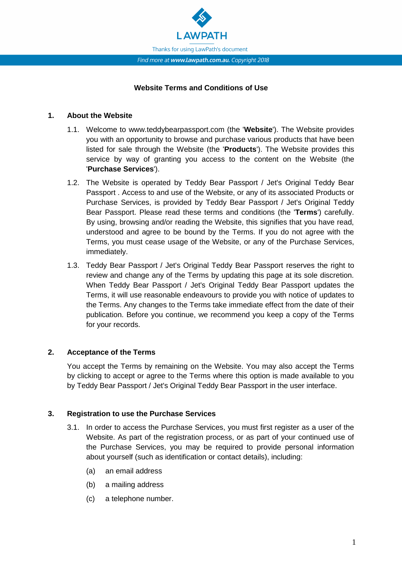

## **Website Terms and Conditions of Use**

#### **1. About the Website**

- 1.1. Welcome to www.teddybearpassport.com (the '**Website**'). The Website provides you with an opportunity to browse and purchase various products that have been listed for sale through the Website (the '**Products**'). The Website provides this service by way of granting you access to the content on the Website (the '**Purchase Services**').
- 1.2. The Website is operated by Teddy Bear Passport / Jet's Original Teddy Bear Passport . Access to and use of the Website, or any of its associated Products or Purchase Services, is provided by Teddy Bear Passport / Jet's Original Teddy Bear Passport. Please read these terms and conditions (the '**Terms**') carefully. By using, browsing and/or reading the Website, this signifies that you have read, understood and agree to be bound by the Terms. If you do not agree with the Terms, you must cease usage of the Website, or any of the Purchase Services, immediately.
- 1.3. Teddy Bear Passport / Jet's Original Teddy Bear Passport reserves the right to review and change any of the Terms by updating this page at its sole discretion. When Teddy Bear Passport / Jet's Original Teddy Bear Passport updates the Terms, it will use reasonable endeavours to provide you with notice of updates to the Terms. Any changes to the Terms take immediate effect from the date of their publication. Before you continue, we recommend you keep a copy of the Terms for your records.

## **2. Acceptance of the Terms**

You accept the Terms by remaining on the Website. You may also accept the Terms by clicking to accept or agree to the Terms where this option is made available to you by Teddy Bear Passport / Jet's Original Teddy Bear Passport in the user interface.

#### **3. Registration to use the Purchase Services**

- 3.1. In order to access the Purchase Services, you must first register as a user of the Website. As part of the registration process, or as part of your continued use of the Purchase Services, you may be required to provide personal information about yourself (such as identification or contact details), including:
	- (a) an email address
	- (b) a mailing address
	- (c) a telephone number.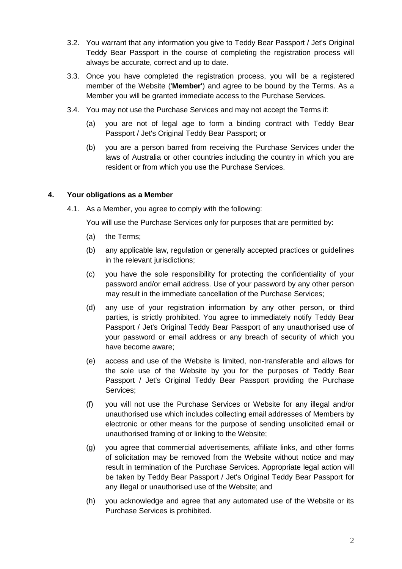- 3.2. You warrant that any information you give to Teddy Bear Passport / Jet's Original Teddy Bear Passport in the course of completing the registration process will always be accurate, correct and up to date.
- 3.3. Once you have completed the registration process, you will be a registered member of the Website ('**Member'**) and agree to be bound by the Terms. As a Member you will be granted immediate access to the Purchase Services.
- 3.4. You may not use the Purchase Services and may not accept the Terms if:
	- (a) you are not of legal age to form a binding contract with Teddy Bear Passport / Jet's Original Teddy Bear Passport; or
	- (b) you are a person barred from receiving the Purchase Services under the laws of Australia or other countries including the country in which you are resident or from which you use the Purchase Services.

#### **4. Your obligations as a Member**

4.1. As a Member, you agree to comply with the following:

You will use the Purchase Services only for purposes that are permitted by:

- (a) the Terms;
- (b) any applicable law, regulation or generally accepted practices or guidelines in the relevant jurisdictions;
- (c) you have the sole responsibility for protecting the confidentiality of your password and/or email address. Use of your password by any other person may result in the immediate cancellation of the Purchase Services;
- (d) any use of your registration information by any other person, or third parties, is strictly prohibited. You agree to immediately notify Teddy Bear Passport / Jet's Original Teddy Bear Passport of any unauthorised use of your password or email address or any breach of security of which you have become aware;
- (e) access and use of the Website is limited, non-transferable and allows for the sole use of the Website by you for the purposes of Teddy Bear Passport / Jet's Original Teddy Bear Passport providing the Purchase Services;
- (f) you will not use the Purchase Services or Website for any illegal and/or unauthorised use which includes collecting email addresses of Members by electronic or other means for the purpose of sending unsolicited email or unauthorised framing of or linking to the Website;
- (g) you agree that commercial advertisements, affiliate links, and other forms of solicitation may be removed from the Website without notice and may result in termination of the Purchase Services. Appropriate legal action will be taken by Teddy Bear Passport / Jet's Original Teddy Bear Passport for any illegal or unauthorised use of the Website; and
- (h) you acknowledge and agree that any automated use of the Website or its Purchase Services is prohibited.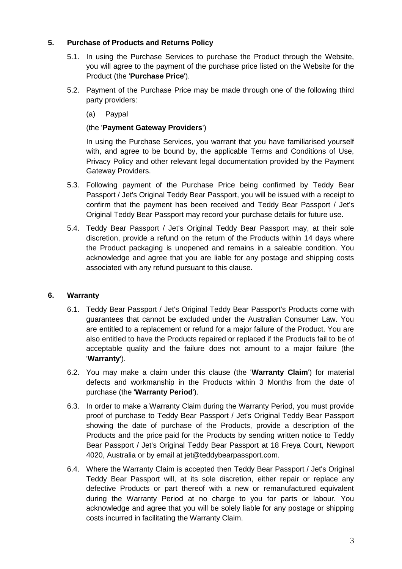## **5. Purchase of Products and Returns Policy**

- 5.1. In using the Purchase Services to purchase the Product through the Website, you will agree to the payment of the purchase price listed on the Website for the Product (the '**Purchase Price**').
- 5.2. Payment of the Purchase Price may be made through one of the following third party providers:
	- (a) Paypal

# (the '**Payment Gateway Providers**')

In using the Purchase Services, you warrant that you have familiarised yourself with, and agree to be bound by, the applicable Terms and Conditions of Use, Privacy Policy and other relevant legal documentation provided by the Payment Gateway Providers.

- 5.3. Following payment of the Purchase Price being confirmed by Teddy Bear Passport / Jet's Original Teddy Bear Passport, you will be issued with a receipt to confirm that the payment has been received and Teddy Bear Passport / Jet's Original Teddy Bear Passport may record your purchase details for future use.
- 5.4. Teddy Bear Passport / Jet's Original Teddy Bear Passport may, at their sole discretion, provide a refund on the return of the Products within 14 days where the Product packaging is unopened and remains in a saleable condition. You acknowledge and agree that you are liable for any postage and shipping costs associated with any refund pursuant to this clause.

## **6. Warranty**

- 6.1. Teddy Bear Passport / Jet's Original Teddy Bear Passport's Products come with guarantees that cannot be excluded under the Australian Consumer Law. You are entitled to a replacement or refund for a major failure of the Product. You are also entitled to have the Products repaired or replaced if the Products fail to be of acceptable quality and the failure does not amount to a major failure (the '**Warranty**').
- 6.2. You may make a claim under this clause (the '**Warranty Claim**') for material defects and workmanship in the Products within 3 Months from the date of purchase (the '**Warranty Period**').
- 6.3. In order to make a Warranty Claim during the Warranty Period, you must provide proof of purchase to Teddy Bear Passport / Jet's Original Teddy Bear Passport showing the date of purchase of the Products, provide a description of the Products and the price paid for the Products by sending written notice to Teddy Bear Passport / Jet's Original Teddy Bear Passport at 18 Freya Court, Newport 4020, Australia or by email at jet@teddybearpassport.com.
- 6.4. Where the Warranty Claim is accepted then Teddy Bear Passport / Jet's Original Teddy Bear Passport will, at its sole discretion, either repair or replace any defective Products or part thereof with a new or remanufactured equivalent during the Warranty Period at no charge to you for parts or labour. You acknowledge and agree that you will be solely liable for any postage or shipping costs incurred in facilitating the Warranty Claim.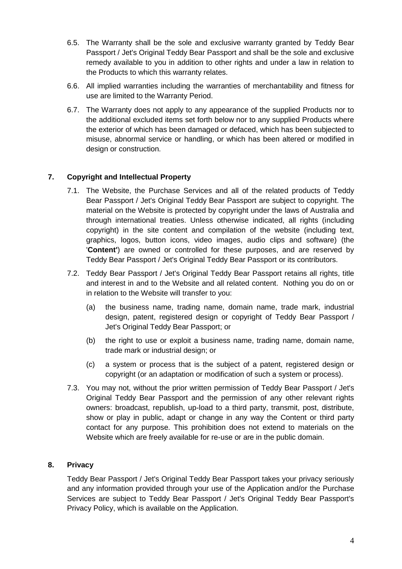- 6.5. The Warranty shall be the sole and exclusive warranty granted by Teddy Bear Passport / Jet's Original Teddy Bear Passport and shall be the sole and exclusive remedy available to you in addition to other rights and under a law in relation to the Products to which this warranty relates.
- 6.6. All implied warranties including the warranties of merchantability and fitness for use are limited to the Warranty Period.
- 6.7. The Warranty does not apply to any appearance of the supplied Products nor to the additional excluded items set forth below nor to any supplied Products where the exterior of which has been damaged or defaced, which has been subjected to misuse, abnormal service or handling, or which has been altered or modified in design or construction.

# **7. Copyright and Intellectual Property**

- 7.1. The Website, the Purchase Services and all of the related products of Teddy Bear Passport / Jet's Original Teddy Bear Passport are subject to copyright. The material on the Website is protected by copyright under the laws of Australia and through international treaties. Unless otherwise indicated, all rights (including copyright) in the site content and compilation of the website (including text, graphics, logos, button icons, video images, audio clips and software) (the '**Content'**) are owned or controlled for these purposes, and are reserved by Teddy Bear Passport / Jet's Original Teddy Bear Passport or its contributors.
- 7.2. Teddy Bear Passport / Jet's Original Teddy Bear Passport retains all rights, title and interest in and to the Website and all related content. Nothing you do on or in relation to the Website will transfer to you:
	- (a) the business name, trading name, domain name, trade mark, industrial design, patent, registered design or copyright of Teddy Bear Passport / Jet's Original Teddy Bear Passport; or
	- (b) the right to use or exploit a business name, trading name, domain name, trade mark or industrial design; or
	- (c) a system or process that is the subject of a patent, registered design or copyright (or an adaptation or modification of such a system or process).
- 7.3. You may not, without the prior written permission of Teddy Bear Passport / Jet's Original Teddy Bear Passport and the permission of any other relevant rights owners: broadcast, republish, up-load to a third party, transmit, post, distribute, show or play in public, adapt or change in any way the Content or third party contact for any purpose. This prohibition does not extend to materials on the Website which are freely available for re-use or are in the public domain.

## **8. Privacy**

Teddy Bear Passport / Jet's Original Teddy Bear Passport takes your privacy seriously and any information provided through your use of the Application and/or the Purchase Services are subject to Teddy Bear Passport / Jet's Original Teddy Bear Passport's Privacy Policy, which is available on the Application.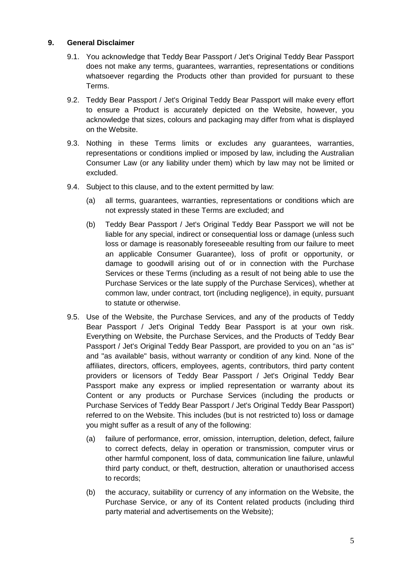#### **9. General Disclaimer**

- 9.1. You acknowledge that Teddy Bear Passport / Jet's Original Teddy Bear Passport does not make any terms, guarantees, warranties, representations or conditions whatsoever regarding the Products other than provided for pursuant to these Terms.
- 9.2. Teddy Bear Passport / Jet's Original Teddy Bear Passport will make every effort to ensure a Product is accurately depicted on the Website, however, you acknowledge that sizes, colours and packaging may differ from what is displayed on the Website.
- 9.3. Nothing in these Terms limits or excludes any guarantees, warranties, representations or conditions implied or imposed by law, including the Australian Consumer Law (or any liability under them) which by law may not be limited or excluded.
- 9.4. Subject to this clause, and to the extent permitted by law:
	- (a) all terms, guarantees, warranties, representations or conditions which are not expressly stated in these Terms are excluded; and
	- (b) Teddy Bear Passport / Jet's Original Teddy Bear Passport we will not be liable for any special, indirect or consequential loss or damage (unless such loss or damage is reasonably foreseeable resulting from our failure to meet an applicable Consumer Guarantee), loss of profit or opportunity, or damage to goodwill arising out of or in connection with the Purchase Services or these Terms (including as a result of not being able to use the Purchase Services or the late supply of the Purchase Services), whether at common law, under contract, tort (including negligence), in equity, pursuant to statute or otherwise.
- 9.5. Use of the Website, the Purchase Services, and any of the products of Teddy Bear Passport / Jet's Original Teddy Bear Passport is at your own risk. Everything on Website, the Purchase Services, and the Products of Teddy Bear Passport / Jet's Original Teddy Bear Passport, are provided to you on an "as is" and "as available" basis, without warranty or condition of any kind. None of the affiliates, directors, officers, employees, agents, contributors, third party content providers or licensors of Teddy Bear Passport / Jet's Original Teddy Bear Passport make any express or implied representation or warranty about its Content or any products or Purchase Services (including the products or Purchase Services of Teddy Bear Passport / Jet's Original Teddy Bear Passport) referred to on the Website. This includes (but is not restricted to) loss or damage you might suffer as a result of any of the following:
	- (a) failure of performance, error, omission, interruption, deletion, defect, failure to correct defects, delay in operation or transmission, computer virus or other harmful component, loss of data, communication line failure, unlawful third party conduct, or theft, destruction, alteration or unauthorised access to records;
	- (b) the accuracy, suitability or currency of any information on the Website, the Purchase Service, or any of its Content related products (including third party material and advertisements on the Website);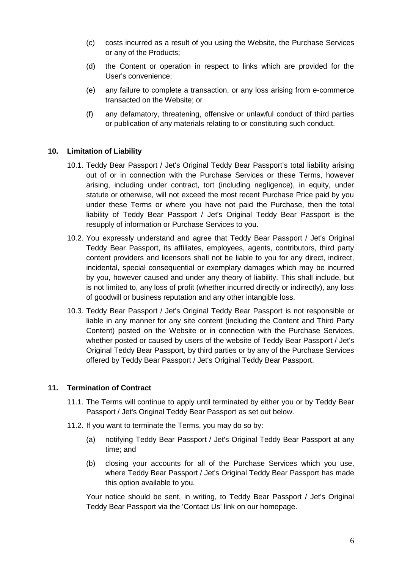- (c) costs incurred as a result of you using the Website, the Purchase Services or any of the Products;
- (d) the Content or operation in respect to links which are provided for the User's convenience;
- (e) any failure to complete a transaction, or any loss arising from e-commerce transacted on the Website; or
- (f) any defamatory, threatening, offensive or unlawful conduct of third parties or publication of any materials relating to or constituting such conduct.

#### **10. Limitation of Liability**

- 10.1. Teddy Bear Passport / Jet's Original Teddy Bear Passport's total liability arising out of or in connection with the Purchase Services or these Terms, however arising, including under contract, tort (including negligence), in equity, under statute or otherwise, will not exceed the most recent Purchase Price paid by you under these Terms or where you have not paid the Purchase, then the total liability of Teddy Bear Passport / Jet's Original Teddy Bear Passport is the resupply of information or Purchase Services to you.
- 10.2. You expressly understand and agree that Teddy Bear Passport / Jet's Original Teddy Bear Passport, its affiliates, employees, agents, contributors, third party content providers and licensors shall not be liable to you for any direct, indirect, incidental, special consequential or exemplary damages which may be incurred by you, however caused and under any theory of liability. This shall include, but is not limited to, any loss of profit (whether incurred directly or indirectly), any loss of goodwill or business reputation and any other intangible loss.
- 10.3. Teddy Bear Passport / Jet's Original Teddy Bear Passport is not responsible or liable in any manner for any site content (including the Content and Third Party Content) posted on the Website or in connection with the Purchase Services, whether posted or caused by users of the website of Teddy Bear Passport / Jet's Original Teddy Bear Passport, by third parties or by any of the Purchase Services offered by Teddy Bear Passport / Jet's Original Teddy Bear Passport.

#### **11. Termination of Contract**

- 11.1. The Terms will continue to apply until terminated by either you or by Teddy Bear Passport / Jet's Original Teddy Bear Passport as set out below.
- 11.2. If you want to terminate the Terms, you may do so by:
	- (a) notifying Teddy Bear Passport / Jet's Original Teddy Bear Passport at any time; and
	- (b) closing your accounts for all of the Purchase Services which you use, where Teddy Bear Passport / Jet's Original Teddy Bear Passport has made this option available to you.

Your notice should be sent, in writing, to Teddy Bear Passport / Jet's Original Teddy Bear Passport via the 'Contact Us' link on our homepage.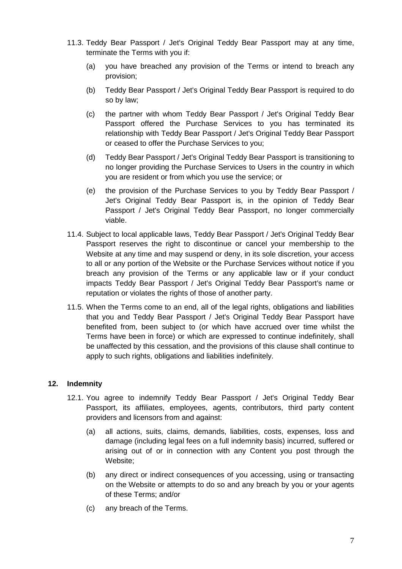- 11.3. Teddy Bear Passport / Jet's Original Teddy Bear Passport may at any time, terminate the Terms with you if:
	- (a) you have breached any provision of the Terms or intend to breach any provision;
	- (b) Teddy Bear Passport / Jet's Original Teddy Bear Passport is required to do so by law;
	- (c) the partner with whom Teddy Bear Passport / Jet's Original Teddy Bear Passport offered the Purchase Services to you has terminated its relationship with Teddy Bear Passport / Jet's Original Teddy Bear Passport or ceased to offer the Purchase Services to you;
	- (d) Teddy Bear Passport / Jet's Original Teddy Bear Passport is transitioning to no longer providing the Purchase Services to Users in the country in which you are resident or from which you use the service; or
	- (e) the provision of the Purchase Services to you by Teddy Bear Passport / Jet's Original Teddy Bear Passport is, in the opinion of Teddy Bear Passport / Jet's Original Teddy Bear Passport, no longer commercially viable.
- 11.4. Subject to local applicable laws, Teddy Bear Passport / Jet's Original Teddy Bear Passport reserves the right to discontinue or cancel your membership to the Website at any time and may suspend or deny, in its sole discretion, your access to all or any portion of the Website or the Purchase Services without notice if you breach any provision of the Terms or any applicable law or if your conduct impacts Teddy Bear Passport / Jet's Original Teddy Bear Passport's name or reputation or violates the rights of those of another party.
- 11.5. When the Terms come to an end, all of the legal rights, obligations and liabilities that you and Teddy Bear Passport / Jet's Original Teddy Bear Passport have benefited from, been subject to (or which have accrued over time whilst the Terms have been in force) or which are expressed to continue indefinitely, shall be unaffected by this cessation, and the provisions of this clause shall continue to apply to such rights, obligations and liabilities indefinitely.

## **12. Indemnity**

- 12.1. You agree to indemnify Teddy Bear Passport / Jet's Original Teddy Bear Passport, its affiliates, employees, agents, contributors, third party content providers and licensors from and against:
	- (a) all actions, suits, claims, demands, liabilities, costs, expenses, loss and damage (including legal fees on a full indemnity basis) incurred, suffered or arising out of or in connection with any Content you post through the Website;
	- (b) any direct or indirect consequences of you accessing, using or transacting on the Website or attempts to do so and any breach by you or your agents of these Terms; and/or
	- (c) any breach of the Terms.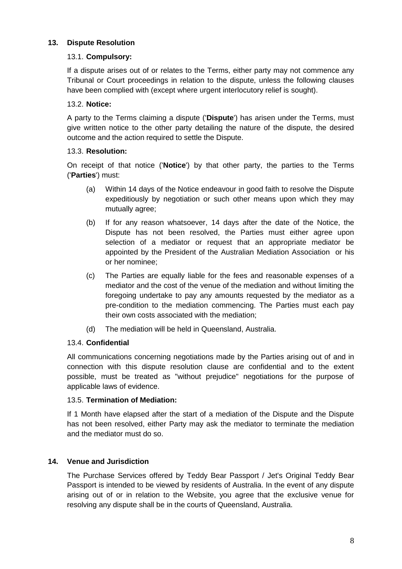## **13. Dispute Resolution**

## 13.1. **Compulsory:**

If a dispute arises out of or relates to the Terms, either party may not commence any Tribunal or Court proceedings in relation to the dispute, unless the following clauses have been complied with (except where urgent interlocutory relief is sought).

# 13.2. **Notice:**

A party to the Terms claiming a dispute ('**Dispute**') has arisen under the Terms, must give written notice to the other party detailing the nature of the dispute, the desired outcome and the action required to settle the Dispute.

# 13.3. **Resolution:**

On receipt of that notice ('**Notice**') by that other party, the parties to the Terms ('**Parties**') must:

- (a) Within 14 days of the Notice endeavour in good faith to resolve the Dispute expeditiously by negotiation or such other means upon which they may mutually agree;
- (b) If for any reason whatsoever, 14 days after the date of the Notice, the Dispute has not been resolved, the Parties must either agree upon selection of a mediator or request that an appropriate mediator be appointed by the President of the Australian Mediation Association or his or her nominee;
- (c) The Parties are equally liable for the fees and reasonable expenses of a mediator and the cost of the venue of the mediation and without limiting the foregoing undertake to pay any amounts requested by the mediator as a pre-condition to the mediation commencing. The Parties must each pay their own costs associated with the mediation;
- (d) The mediation will be held in Queensland, Australia.

# 13.4. **Confidential**

All communications concerning negotiations made by the Parties arising out of and in connection with this dispute resolution clause are confidential and to the extent possible, must be treated as "without prejudice" negotiations for the purpose of applicable laws of evidence.

## 13.5. **Termination of Mediation:**

If 1 Month have elapsed after the start of a mediation of the Dispute and the Dispute has not been resolved, either Party may ask the mediator to terminate the mediation and the mediator must do so.

## **14. Venue and Jurisdiction**

The Purchase Services offered by Teddy Bear Passport / Jet's Original Teddy Bear Passport is intended to be viewed by residents of Australia. In the event of any dispute arising out of or in relation to the Website, you agree that the exclusive venue for resolving any dispute shall be in the courts of Queensland, Australia.